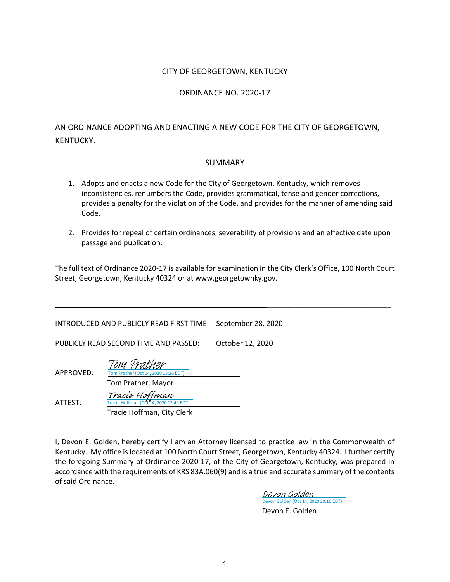#### CITY OF GEORGETOWN, KENTUCKY

#### ORDINANCE NO. 2020-17

## AN ORDINANCE ADOPTING AND ENACTING A NEW CODE FOR THE CITY OF GEORGETOWN, KENTUCKY.

#### SUMMARY

- 1. Adopts and enacts a new Code for the City of Georgetown, Kentucky, which removes inconsistencies, renumbers the Code, provides grammatical, tense and gender corrections, provides a penalty for the violation of the Code, and provides for the manner of amending said Code.
- 2. Provides for repeal of certain ordinances, severability of provisions and an effective date upon passage and publication.

The full text of Ordinance 2020-17 is available for examination in the City Clerk's Office, 100 North Court Street, Georgetown, Kentucky 40324 or at www.georgetownky.gov.

| INTRODUCED AND PUBLICLY READ FIRST TIME: |                                                                                         | September 28, 2020 |
|------------------------------------------|-----------------------------------------------------------------------------------------|--------------------|
| PUBLICLY READ SECOND TIME AND PASSED:    |                                                                                         | October 12, 2020   |
| APPROVED:                                | Tom Prather<br>Tom Prather (Oct 14, 2020 13:26 EDT)<br>Tom Prather, Mayor               |                    |
| ATTEST:                                  | Tracio Hoffman<br>Tracie Hoffman (Oct 14, 2020 13:49 EDT)<br>Tracie Hoffman, City Clerk |                    |

I, Devon E. Golden, hereby certify I am an Attorney licensed to practice law in the Commonwealth of Kentucky. My office is located at 100 North Court Street, Georgetown, Kentucky 40324. I further certify the foregoing Summary of Ordinance 2020-17, of the City of Georgetown, Kentucky, was prepared in accordance with the requirements of KRS 83A.060(9) and is a true and accurate summary of the contents of said Ordinance.

> [Devon Golden \(Oct 14, 2020 20:10 EDT\)](https://na1.documents.adobe.com/verifier?tx=CBJCHBCAABAAkSf_KYzoeLQ1XwigrYBonIA-MMPjPVOt) Devon Golden

Devon E. Golden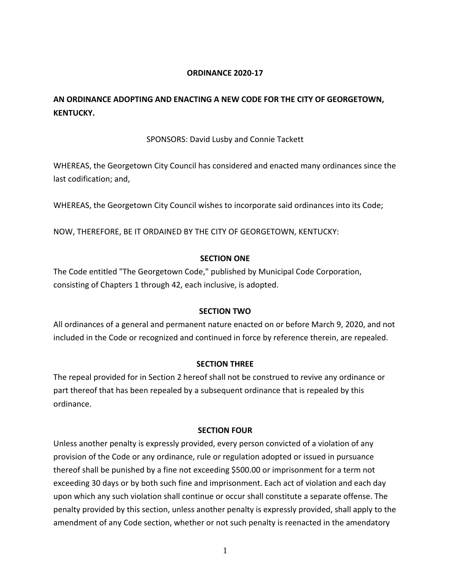## **ORDINANCE 2020-17**

# **AN ORDINANCE ADOPTING AND ENACTING A NEW CODE FOR THE CITY OF GEORGETOWN, KENTUCKY.**

## SPONSORS: David Lusby and Connie Tackett

WHEREAS, the Georgetown City Council has considered and enacted many ordinances since the last codification; and,

WHEREAS, the Georgetown City Council wishes to incorporate said ordinances into its Code;

NOW, THEREFORE, BE IT ORDAINED BY THE CITY OF GEORGETOWN, KENTUCKY:

## **SECTION ONE**

The Code entitled "The Georgetown Code," published by Municipal Code Corporation, consisting of Chapters 1 through 42, each inclusive, is adopted.

## **SECTION TWO**

All ordinances of a general and permanent nature enacted on or before March 9, 2020, and not included in the Code or recognized and continued in force by reference therein, are repealed.

## **SECTION THREE**

The repeal provided for in Section 2 hereof shall not be construed to revive any ordinance or part thereof that has been repealed by a subsequent ordinance that is repealed by this ordinance.

## **SECTION FOUR**

Unless another penalty is expressly provided, every person convicted of a violation of any provision of the Code or any ordinance, rule or regulation adopted or issued in pursuance thereof shall be punished by a fine not exceeding \$500.00 or imprisonment for a term not exceeding 30 days or by both such fine and imprisonment. Each act of violation and each day upon which any such violation shall continue or occur shall constitute a separate offense. The penalty provided by this section, unless another penalty is expressly provided, shall apply to the amendment of any Code section, whether or not such penalty is reenacted in the amendatory